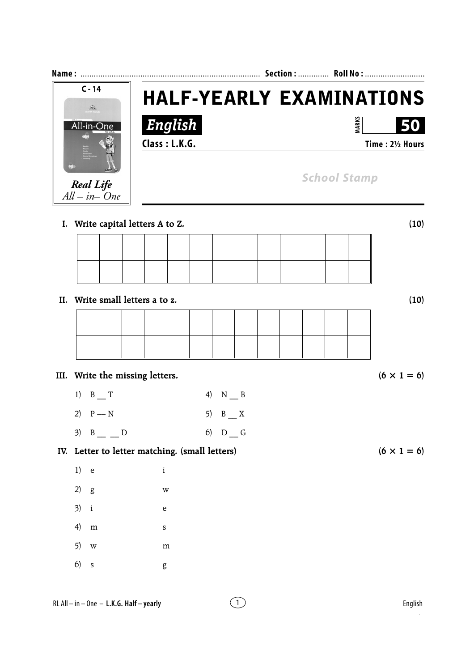| $C - 14$<br>$\mathcal{Z}_4$                    | <b>HALF-YEARLY EXAMINATIONS</b> |                     |  |                                        |  |  |                     |                    |
|------------------------------------------------|---------------------------------|---------------------|--|----------------------------------------|--|--|---------------------|--------------------|
| All-in-One                                     | English<br>Class: L.K.G.        |                     |  | <b>MARKS</b><br>50<br>Time: 21/2 Hours |  |  |                     |                    |
| <b>Real Life</b><br>$All - in - One$           |                                 |                     |  |                                        |  |  | <b>School Stamp</b> |                    |
| I. Write capital letters A to Z.               |                                 |                     |  |                                        |  |  |                     | (10)               |
|                                                |                                 |                     |  |                                        |  |  |                     |                    |
|                                                |                                 |                     |  |                                        |  |  |                     |                    |
| II. Write small letters a to z.                |                                 |                     |  |                                        |  |  |                     | (10)               |
|                                                |                                 |                     |  |                                        |  |  |                     |                    |
|                                                |                                 |                     |  |                                        |  |  |                     |                    |
| III. Write the missing letters.                |                                 |                     |  |                                        |  |  |                     | $(6 \times 1 = 6)$ |
| $B_{1}$<br>1)                                  |                                 | 4)<br>$N_{\_\_\}$ B |  |                                        |  |  |                     |                    |
| $P - N$<br>2)                                  |                                 | $B_{x}$<br>5)       |  |                                        |  |  |                     |                    |
| $B_{-}D$                                       |                                 | $6)$ D G            |  |                                        |  |  |                     |                    |
| IV. Letter to letter matching. (small letters) |                                 |                     |  |                                        |  |  |                     | $(6 \times 1 = 6)$ |
| 1)<br>$\mathbf{e}$                             | $\rm i$                         |                     |  |                                        |  |  |                     |                    |
| 2)<br>g<br>3)<br>$\mathbf{i}$                  | W<br>e                          |                     |  |                                        |  |  |                     |                    |
| 4)<br>${\bf m}$                                | S                               |                     |  |                                        |  |  |                     |                    |
| 5)<br>W                                        | m                               |                     |  |                                        |  |  |                     |                    |
| 6)<br>$\,$ S                                   | g                               |                     |  |                                        |  |  |                     |                    |
| RL All - in - One - L.K.G. Half - yearly       |                                 | $\left(1\right)$    |  |                                        |  |  |                     | English            |